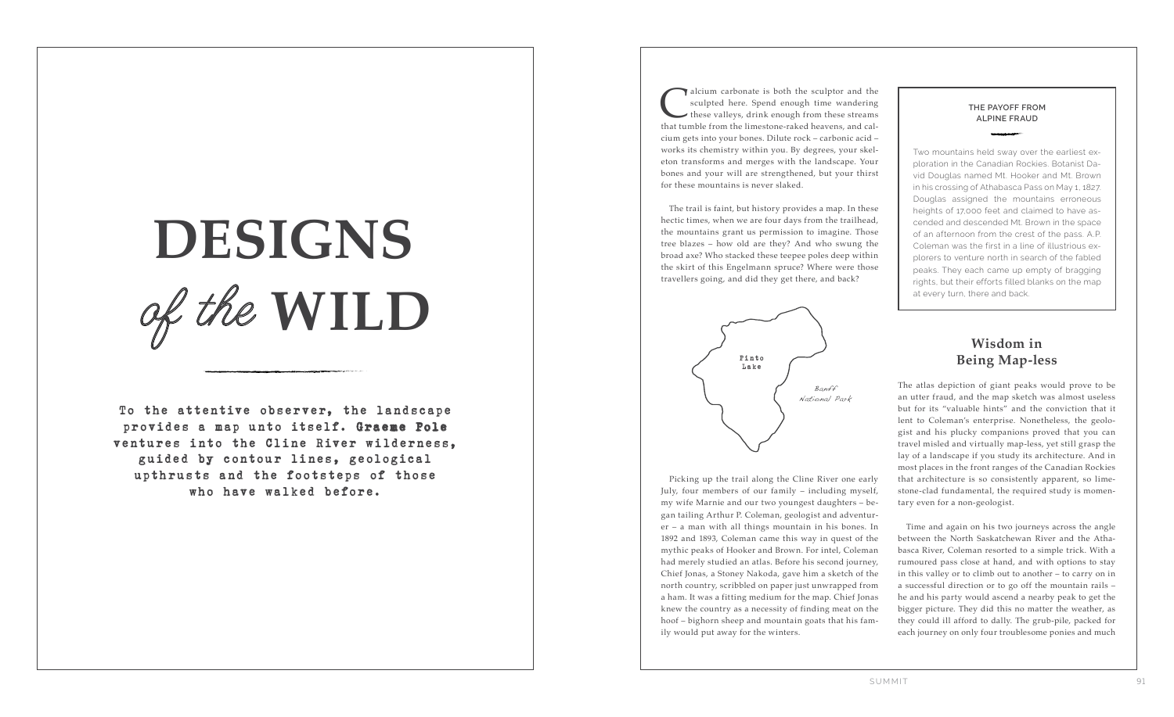To the attentive observer, the landscape provides a map unto itself. Graeme Pole ventures into the Cline River wilderness, guided by contour lines, geological upthrusts and the footsteps of those who have walked before.

# of the **WILD DESIGNS**

alcium carbonate is both the sculptor and the sculpted here. Spend enough time wandering these valleys, drink enough from these streams that tumble from the limestone-raked heavens, and calsculpted here. Spend enough time wandering these valleys, drink enough from these streams cium gets into your bones. Dilute rock – carbonic acid – works its chemistry within you. By degrees, your skel eton transforms and merges with the landscape. Your bones and your will are strengthened, but your thirst for these mountains is never slaked.

The trail is faint, but history provides a map. In these hectic times, when we are four days from the trailhead, the mountains grant us permission to imagine. Those tree blazes – how old are they? And who swung the broad axe? Who stacked these teepee poles deep within the skirt of this Engelmann spruce? Where were those travellers going, and did they get there, and back?

### **Wisdom in Being Map-less**

The atlas depiction of giant peaks would prove to be an utter fraud, and the map sketch was almost useless but for its "valuable hints" and the conviction that it lent to Coleman's enterprise. Nonetheless, the geolo gist and his plucky companions proved that you can travel misled and virtually map-less, yet still grasp the lay of a landscape if you study its architecture. And in most places in the front ranges of the Canadian Rockies that architecture is so consistently apparent, so lime stone-clad fundamental, the required study is momen tary even for a non-geologist.

Time and again on his two journeys across the angle between the North Saskatchewan River and the Atha basca River, Coleman resorted to a simple trick. With a rumoured pass close at hand, and with options to stay in this valley or to climb out to another – to carry on in a successful direction or to go off the mountain rails – he and his party would ascend a nearby peak to get the bigger picture. They did this no matter the weather, as they could ill afford to dally. The grub-pile, packed for each journey on only four troublesome ponies and much

#### **THE PAYOFF FROM ALPINE FRAUD**

Two mountains held sway over the earliest ex ploration in the Canadian Rockies. Botanist Da vid Douglas named Mt. Hooker and Mt. Brown in his crossing of Athabasca Pass on May 1, 1827. Douglas assigned the mountains erroneous heights of 17,000 feet and claimed to have as cended and descended Mt. Brown in the space of an afternoon from the crest of the pass. A.P. Coleman was the first in a line of illustrious ex plorers to venture north in search of the fabled peaks. They each came up empty of bragging rights, but their efforts filled blanks on the map at every turn, there and back.



Banff National Park

Picking up the trail along the Cline River one early July, four members of our family – including myself, my wife Marnie and our two youngest daughters – be gan tailing Arthur P. Coleman, geologist and adventur er – a man with all things mountain in his bones. In 1892 and 1893, Coleman came this way in quest of the mythic peaks of Hooker and Brown. For intel, Coleman had merely studied an atlas. Before his second journey, Chief Jonas, a Stoney Nakoda, gave him a sketch of the north country, scribbled on paper just unwrapped from a ham. It was a fitting medium for the map. Chief Jonas knew the country as a necessity of finding meat on the hoof – bighorn sheep and mountain goats that his fam ily would put away for the winters.